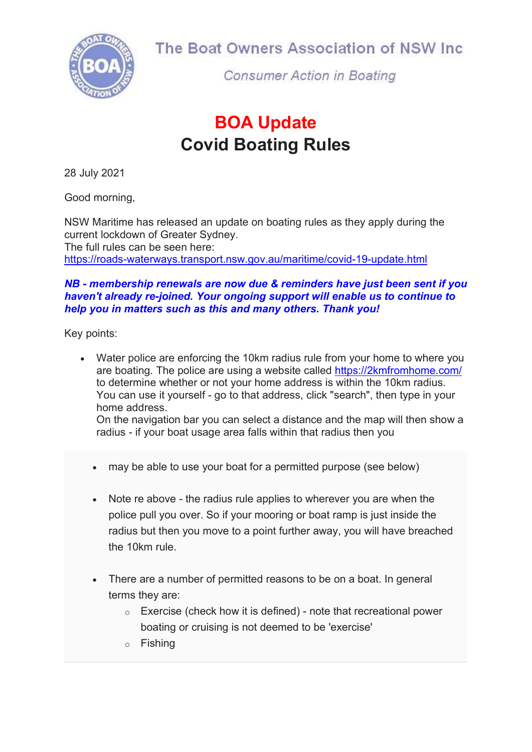

The Boat Owners Association of NSW Inc

**Consumer Action in Boating** 

## BOA Update Covid Boating Rules

28 July 2021

Good morning,

NSW Maritime has released an update on boating rules as they apply during the current lockdown of Greater Sydney. The full rules can be seen here: https://roads-waterways.transport.nsw.gov.au/maritime/covid-19-update.html

## NB - membership renewals are now due & reminders have just been sent if you haven't already re-joined. Your ongoing support will enable us to continue to help you in matters such as this and many others. Thank you!

Key points:

- Water police are enforcing the 10km radius rule from your home to where you are boating. The police are using a website called https://2kmfromhome.com/ to determine whether or not your home address is within the 10km radius. You can use it yourself - go to that address, click "search", then type in your home address. On the navigation bar you can select a distance and the map will then show a radius - if your boat usage area falls within that radius then you
	- may be able to use your boat for a permitted purpose (see below)
	- Note re above the radius rule applies to wherever you are when the police pull you over. So if your mooring or boat ramp is just inside the radius but then you move to a point further away, you will have breached the 10km rule.
	- There are a number of permitted reasons to be on a boat. In general terms they are:
		- $\circ$  Exercise (check how it is defined) note that recreational power boating or cruising is not deemed to be 'exercise'
		- o Fishing